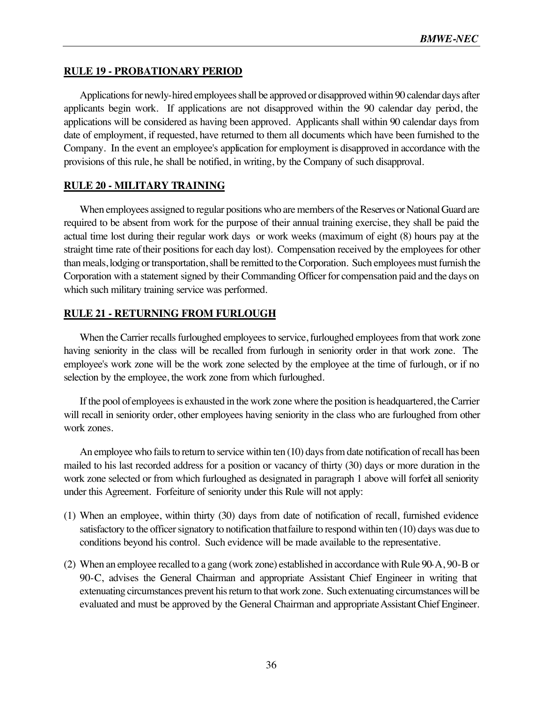# **RULE 19 - PROBATIONARY PERIOD**

Applications for newly-hired employees shall be approved or disapproved within 90 calendar days after applicants begin work. If applications are not disapproved within the 90 calendar day period, the applications will be considered as having been approved. Applicants shall within 90 calendar days from date of employment, if requested, have returned to them all documents which have been furnished to the Company. In the event an employee's application for employment is disapproved in accordance with the provisions of this rule, he shall be notified, in writing, by the Company of such disapproval.

# **RULE 20 - MILITARY TRAINING**

When employees assigned to regular positions who are members of the Reserves or National Guard are required to be absent from work for the purpose of their annual training exercise, they shall be paid the actual time lost during their regular work days or work weeks (maximum of eight (8) hours pay at the straight time rate of their positions for each day lost). Compensation received by the employees for other than meals, lodging or transportation, shall be remitted to the Corporation. Such employees must furnish the Corporation with a statement signed by their Commanding Officer for compensation paid and the days on which such military training service was performed.

# **RULE 21 - RETURNING FROM FURLOUGH**

When the Carrier recalls furloughed employees to service, furloughed employees from that work zone having seniority in the class will be recalled from furlough in seniority order in that work zone. The employee's work zone will be the work zone selected by the employee at the time of furlough, or if no selection by the employee, the work zone from which furloughed.

If the pool of employees is exhausted in the work zone where the position is headquartered, the Carrier will recall in seniority order, other employees having seniority in the class who are furloughed from other work zones.

An employee who fails to return to service within ten (10) days from date notification of recall has been mailed to his last recorded address for a position or vacancy of thirty (30) days or more duration in the work zone selected or from which furloughed as designated in paragraph 1 above will forfeit all seniority under this Agreement. Forfeiture of seniority under this Rule will not apply:

- (1) When an employee, within thirty (30) days from date of notification of recall, furnished evidence satisfactory to the officer signatory to notification that failure to respond within ten (10) days was due to conditions beyond his control. Such evidence will be made available to the representative.
- (2) When an employee recalled to a gang (work zone) established in accordance with Rule 90-A, 90-B or 90-C, advises the General Chairman and appropriate Assistant Chief Engineer in writing that extenuating circumstances prevent his return to that work zone. Such extenuating circumstances will be evaluated and must be approved by the General Chairman and appropriate Assistant Chief Engineer.